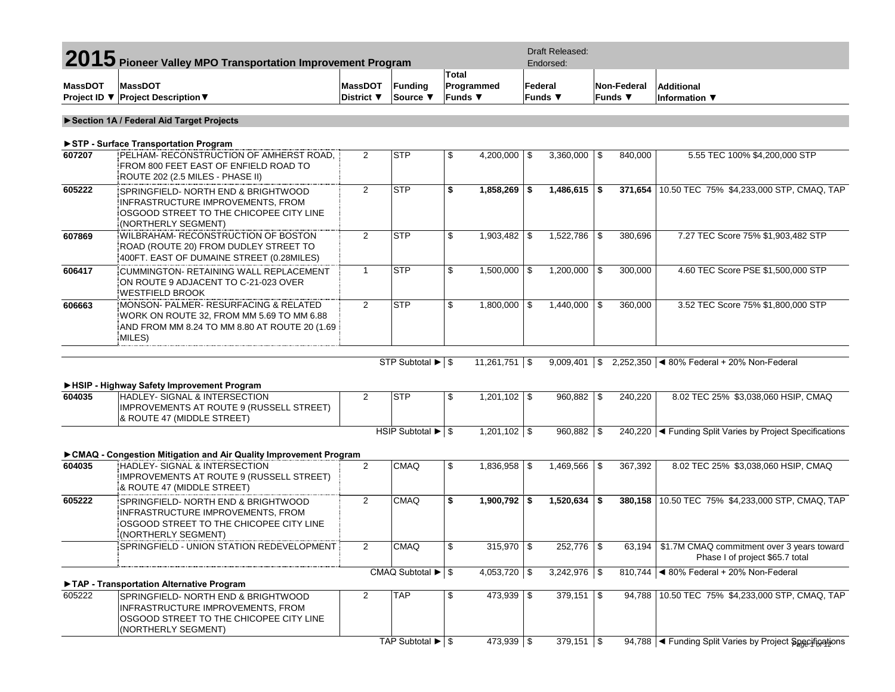|                | 2015 Pioneer Valley MPO Transportation Improvement Program                                                                                                                             |                                                 |                                               |                                       | Draft Released:<br>Endorsed: |         |                            |            |                        |                                                                                        |
|----------------|----------------------------------------------------------------------------------------------------------------------------------------------------------------------------------------|-------------------------------------------------|-----------------------------------------------|---------------------------------------|------------------------------|---------|----------------------------|------------|------------------------|----------------------------------------------------------------------------------------|
| <b>MassDOT</b> | <b>MassDOT</b><br>Project ID ▼ Project Description ▼                                                                                                                                   | <b>MassDOT</b><br>District $\blacktriangledown$ | <b>Funding</b><br>Source ▼                    | Total<br>Programmed<br><b>Funds</b> ▼ |                              | Federal | Funds $\blacktriangledown$ |            | Non-Federal<br>Funds ▼ | <b>Additional</b><br>Information ▼                                                     |
|                | Section 1A / Federal Aid Target Projects                                                                                                                                               |                                                 |                                               |                                       |                              |         |                            |            |                        |                                                                                        |
|                | STP - Surface Transportation Program                                                                                                                                                   |                                                 |                                               |                                       |                              |         |                            |            |                        |                                                                                        |
| 607207         | PELHAM- RECONSTRUCTION OF AMHERST ROAD,<br>FROM 800 FEET EAST OF ENFIELD ROAD TO<br>ROUTE 202 (2.5 MILES - PHASE II)                                                                   | $\overline{2}$                                  | <b>STP</b>                                    | \$                                    | 4,200,000 $\vert$ \$         |         | $3,360,000$ \ \$           |            | 840,000                | 5.55 TEC 100% \$4,200,000 STP                                                          |
| 605222         | SPRINGFIELD- NORTH END & BRIGHTWOOD<br>INFRASTRUCTURE IMPROVEMENTS, FROM<br>OSGOOD STREET TO THE CHICOPEE CITY LINE<br>(NORTHERLY SEGMENT)                                             | $\overline{2}$                                  | <b>STP</b>                                    | \$                                    | $1,858,269$ \$               |         | $1,486,615$ \$             |            | 371,654                | 10.50 TEC 75% \$4,233,000 STP, CMAQ, TAP                                               |
| 607869         | WILBRAHAM- RECONSTRUCTION OF BOSTON<br>ROAD (ROUTE 20) FROM DUDLEY STREET TO<br>400FT. EAST OF DUMAINE STREET (0.28MILES)                                                              | 2                                               | <b>STP</b>                                    | \$                                    | $1,903,482$ \$               |         |                            |            | 380,696                | 7.27 TEC Score 75% \$1,903,482 STP                                                     |
| 606417         | <b>CUMMINGTON- RETAINING WALL REPLACEMENT</b><br>ON ROUTE 9 ADJACENT TO C-21-023 OVER<br><b>WESTFIELD BROOK</b>                                                                        | $\mathbf{1}$                                    | <b>STP</b>                                    | \$                                    | $1,500,000$ \ \$             |         | $1,200,000$ \ \$           |            | 300,000                | 4.60 TEC Score PSE \$1,500,000 STP                                                     |
| 606663         | MONSON- PALMER- RESURFACING & RELATED<br>WORK ON ROUTE 32, FROM MM 5.69 TO MM 6.88<br>AND FROM MM 8.24 TO MM 8.80 AT ROUTE 20 (1.69<br>MILES)                                          | $\overline{2}$                                  | <b>STP</b>                                    | \$                                    | $1,800,000$ \ \$             |         | $1,440,000$ \ \$           |            | 360,000                | 3.52 TEC Score 75% \$1,800,000 STP                                                     |
|                |                                                                                                                                                                                        |                                                 |                                               |                                       | $11,261,751$ \$              |         | $9,009,401$ \$             |            |                        | 2,252,350 $\mid$ < 80% Federal + 20% Non-Federal                                       |
| 604035         | ► HSIP - Highway Safety Improvement Program<br><b>HADLEY- SIGNAL &amp; INTERSECTION</b><br>IMPROVEMENTS AT ROUTE 9 (RUSSELL STREET)<br>& ROUTE 47 (MIDDLE STREET)                      | $\overline{2}$                                  | <b>STP</b>                                    | \$                                    | $1,201,102$ \$               |         | 960,882                    | $\sqrt{3}$ | 240,220                | 8.02 TEC 25% \$3,038,060 HSIP, CMAQ                                                    |
|                | ► CMAQ - Congestion Mitigation and Air Quality Improvement Program                                                                                                                     |                                                 | HSIP Subtotal $\blacktriangleright$ \$        |                                       | $1,201,102$ \$               |         | $960,882$ \$               |            |                        | 240,220   < Funding Split Varies by Project Specifications                             |
| 604035         | HADLEY- SIGNAL & INTERSECTION<br>IMPROVEMENTS AT ROUTE 9 (RUSSELL STREET)<br>& ROUTE 47 (MIDDLE STREET)                                                                                | 2                                               | <b>CMAQ</b>                                   | \$                                    | $1,836,958$ \$               |         | $1,469,566$ \ \$           |            | 367,392                | 8.02 TEC 25% \$3,038,060 HSIP, CMAQ                                                    |
| 605222         | SPRINGFIELD- NORTH END & BRIGHTWOOD<br>INFRASTRUCTURE IMPROVEMENTS, FROM<br>OSGOOD STREET TO THE CHICOPEE CITY LINE<br>(NORTHERLY SEGMENT)                                             | $\overline{2}$                                  | <b>CMAQ</b>                                   | \$                                    | $1,900,792$ \$               |         | $1,520,634$ \$             |            |                        | 380,158 10.50 TEC 75% \$4,233,000 STP, CMAQ, TAP                                       |
|                | SPRINGFIELD - UNION STATION REDEVELOPMENT                                                                                                                                              | $\overline{2}$                                  | <b>CMAQ</b>                                   | \$                                    | $315,970$ \$                 |         | $252,776$ \$               |            |                        | 63,194   \$1.7M CMAQ commitment over 3 years toward<br>Phase I of project \$65.7 total |
|                |                                                                                                                                                                                        |                                                 | CMAQ Subtotal $\blacktriangleright$ $\mid$ \$ |                                       | 4,053,720 $\vert$ \$         |         | $3,242,976$ \$             |            |                        | 810,744 <4 80% Federal + 20% Non-Federal                                               |
| 605222         | TAP - Transportation Alternative Program<br>SPRINGFIELD- NORTH END & BRIGHTWOOD<br>INFRASTRUCTURE IMPROVEMENTS, FROM<br>OSGOOD STREET TO THE CHICOPEE CITY LINE<br>(NORTHERLY SEGMENT) | $\overline{2}$                                  | <b>TAP</b>                                    | \$                                    | $473,939$ \$                 |         | $379,151$ \$               |            |                        | 94,788 10.50 TEC 75% \$4,233,000 STP, CMAQ, TAP                                        |
|                |                                                                                                                                                                                        |                                                 | TAP Subtotal ▶ \$                             |                                       | 473,939 \$                   |         | $379,151$ \$               |            |                        | 94,788   Eunding Split Varies by Project Specifications                                |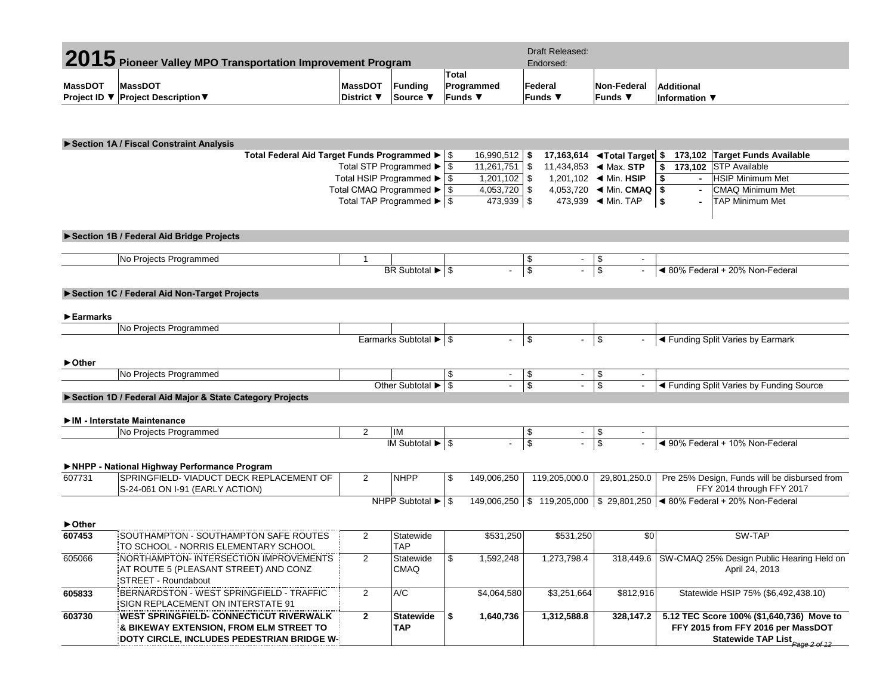|                                                       | 2015 Pioneer Valley MPO Transportation Improvement Program |                                                                    |                | <b>Draft Released:</b><br>Endorsed: |                                          |          |                                                                   |                       |                                     |                                |
|-------------------------------------------------------|------------------------------------------------------------|--------------------------------------------------------------------|----------------|-------------------------------------|------------------------------------------|----------|-------------------------------------------------------------------|-----------------------|-------------------------------------|--------------------------------|
|                                                       |                                                            |                                                                    |                | <b>Total</b>                        |                                          |          |                                                                   |                       |                                     |                                |
| MassDOT                                               | <b>MassDOT</b>                                             | <b>MassDOT</b>                                                     | <b>Fundina</b> | Programmed                          |                                          | Federal  | Non-Federal                                                       |                       | Additional                          |                                |
|                                                       | Project ID ▼ Project Description ▼                         | District ▼                                                         | Source \       | ∣Funds ▼                            |                                          | lFunds ▼ | Funds ▼                                                           |                       | Information $\overline{\mathbf{v}}$ |                                |
|                                                       | ▶ Section 1A / Fiscal Constraint Analysis                  |                                                                    |                |                                     |                                          |          |                                                                   |                       |                                     |                                |
|                                                       | Total Federal Aid Target Funds Programmed ▶   \$           |                                                                    |                | $16,990,512$ \$                     |                                          |          | 17,163,614 <b><de< b="">Total Target \$</de<></b>                 |                       |                                     | 173,102 Target Funds Available |
|                                                       |                                                            | Total STP Programmed $\blacktriangleright$ $\mid$ \$<br>11.261.751 | l S            |                                     | 11,434,853 $\blacktriangleleft$ Max. STP |          |                                                                   | 173.102 STP Available |                                     |                                |
| Total HSIP Programmed $\blacktriangleright$ $\mid$ \$ |                                                            |                                                                    |                |                                     |                                          |          | 1,201,102 $\blacktriangleleft$ Min. HSIP                          |                       | $\blacksquare$                      | <b>HSIP Minimum Met</b>        |
|                                                       |                                                            | Total CMAQ Programmed ▶ S                                          |                | $4.053.720$ \ \$                    |                                          |          | 4,053,720 $\blacktriangleleft$ Min. CMAQ $\blacktriangleright$ \$ |                       | $\blacksquare$                      | <b>CMAQ Minimum Met</b>        |

## **►Section 1B / Federal Aid Bridge Projects**

| ammer<br>$P_{2}$ |                                        |  |  |                                             |
|------------------|----------------------------------------|--|--|---------------------------------------------|
|                  | <b>DD</b><br>$-0.0000$<br>ßк<br>olulal |  |  | 20%<br>א∩?<br>Federal<br>Non<br>. odor<br>. |

Total TAP Programmed ►

\$ 473,939 \$ 473,939 ◄ Min. TAP **\$ -** TAP Minimum Met

# **►Section 1C / Federal Aid Non-Target Projects**

## **►Earmarks**

| . Drr<br>∵'ndrammed<br>$100 - 10$<br>INO.<br>טסוטו ו |          |         |  |  |                                     |
|------------------------------------------------------|----------|---------|--|--|-------------------------------------|
|                                                      | Earmarks | ibtotal |  |  | ∃armark<br>. Varie:<br>undin<br>h., |

### **►Other**

| <b>No Projects</b><br>: Programmed |          |  |  |                                                                 |
|------------------------------------|----------|--|--|-----------------------------------------------------------------|
| Other                              | Subtota' |  |  | _<br>.<br>' Funding Source<br>undina 1<br>Varies by Fi<br>SDIIT |
| __                                 |          |  |  |                                                                 |

# **►Section 1D / Federal Aid Major & State Category Projects**

## **►IM - Interstate Maintenance**

| l No<br>Programmed<br>Proje | IN<br>$\blacksquare$ |      |  |                                                |
|-----------------------------|----------------------|------|--|------------------------------------------------|
|                             | $\mathbf{A}$         | - 11 |  | 10%<br>⊱ederal<br>adorol<br>. Non-F<br>JUCIO T |

# **►NHPP - National Highway Performance Program**

| 607731 | SPRINGFIELD- VIADUCT DECK REPLACEMENT OF | <b>NHPP</b>            | 149.006.250 | 119.205.000.0 | 29,801,250.0 | Pre 25% Design, Funds will be disbursed from    |
|--------|------------------------------------------|------------------------|-------------|---------------|--------------|-------------------------------------------------|
|        | S-24-061 ON I-91 (EARLY ACTION)          |                        |             |               |              | FFY 2014 through FFY 2017                       |
|        |                                          | <b>NHPP Subtotal ▶</b> | 149.006.250 | 119.205.000   |              | \$ 29,801,250   ◀ 80% Federal + 20% Non-Federal |

| $\triangleright$ Other |                                                                                                                                   |                |                          |             |             |           |                                                                                                                    |
|------------------------|-----------------------------------------------------------------------------------------------------------------------------------|----------------|--------------------------|-------------|-------------|-----------|--------------------------------------------------------------------------------------------------------------------|
| 607453                 | SOUTHAMPTON - SOUTHAMPTON SAFE ROUTES<br>TO SCHOOL - NORRIS ELEMENTARY SCHOOL                                                     |                | Statewide<br><b>TAP</b>  | \$531.250   | \$531.250   | \$0       | SW-TAP                                                                                                             |
| 605066                 | NORTHAMPTON-INTERSECTION IMPROVEMENTS<br>AT ROUTE 5 (PLEASANT STREET) AND CONZ<br>STREET - Roundabout                             |                | Statewide<br><b>CMAQ</b> | 1,592,248   | 1,273,798.4 | 318.449.6 | SW-CMAQ 25% Design Public Hearing Held on<br>April 24, 2013                                                        |
| 605833                 | BERNARDSTON - WEST SPRINGFIELD - TRAFFIC<br>SIGN REPLACEMENT ON INTERSTATE 91                                                     | $\overline{2}$ | A/C                      | \$4,064,580 | \$3.251.664 | \$812.916 | Statewide HSIP 75% (\$6,492,438.10)                                                                                |
| 603730                 | WEST SPRINGFIELD- CONNECTICUT RIVERWALK:<br>& BIKEWAY EXTENSION, FROM ELM STREET TO<br>DOTY CIRCLE. INCLUDES PEDESTRIAN BRIDGE W- |                | Statewide<br><b>TAP</b>  | 1,640,736   | 1.312.588.8 | 328.147.2 | 5.12 TEC Score 100% (\$1,640,736) Move to<br>FFY 2015 from FFY 2016 per MassDOT<br>Statewide TAP List Page 2 of 12 |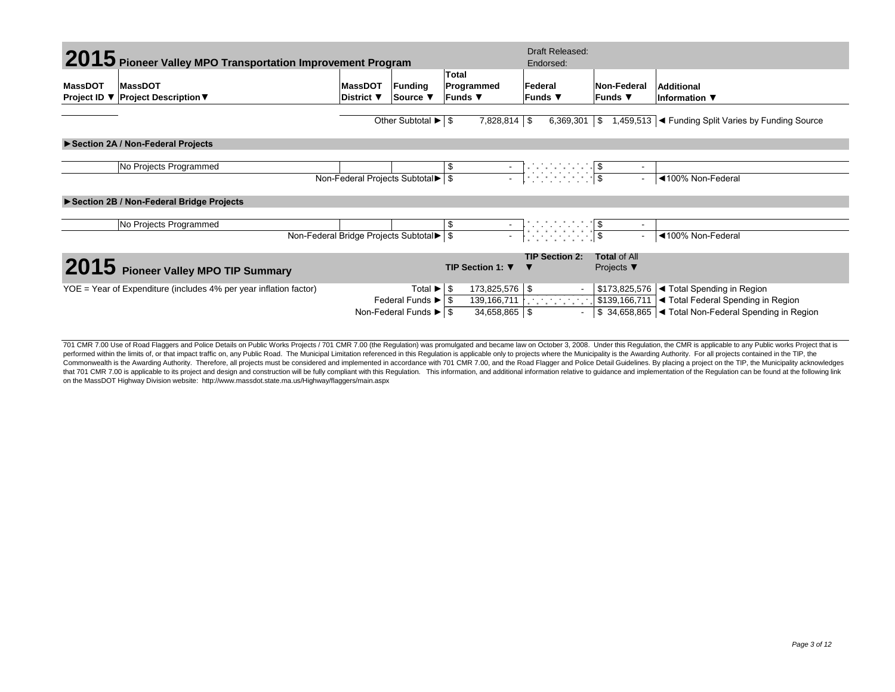|                                                   | 2015 Pioneer Valley MPO Transportation Improvement Program          |                                                     |                                                                                                               |                                            | <b>Draft Released:</b><br>Endorsed:                                                 |                                                      |                                                                                                                                                                                  |
|---------------------------------------------------|---------------------------------------------------------------------|-----------------------------------------------------|---------------------------------------------------------------------------------------------------------------|--------------------------------------------|-------------------------------------------------------------------------------------|------------------------------------------------------|----------------------------------------------------------------------------------------------------------------------------------------------------------------------------------|
| <b>MassDOT</b><br>Project ID $\blacktriangledown$ | MassDOT<br><b>Project Description ▼</b>                             | <b>MassDOT</b><br>Funding<br>District ▼<br>Source ▼ |                                                                                                               | Total<br>Programmed<br><b>Funds</b> ▼      | Federal<br>lFunds ▼                                                                 | Non-Federal<br>∣Funds ▼                              | <b>Additional</b><br>Information ▼                                                                                                                                               |
|                                                   |                                                                     |                                                     | Other Subtotal $\blacktriangleright$ $\mid$ \$                                                                | $7,828,814$ \$                             | $6,369,301$ \\$                                                                     |                                                      | 1,459,513  ◀ Funding Split Varies by Funding Source                                                                                                                              |
|                                                   | Section 2A / Non-Federal Projects                                   |                                                     |                                                                                                               |                                            |                                                                                     |                                                      |                                                                                                                                                                                  |
|                                                   | No Projects Programmed                                              |                                                     | Non-Federal Projects Subtotal ▶ \$                                                                            |                                            |                                                                                     |                                                      | ◀100% Non-Federal                                                                                                                                                                |
|                                                   | Section 2B / Non-Federal Bridge Projects                            |                                                     |                                                                                                               |                                            |                                                                                     |                                                      |                                                                                                                                                                                  |
|                                                   | No Projects Programmed                                              |                                                     | Non-Federal Bridge Projects Subtotal                                                                          |                                            | $\frac{1}{\sqrt{2}}$ $\frac{1}{\sqrt{2}}$ $\frac{1}{\sqrt{2}}$ $\frac{1}{\sqrt{2}}$ |                                                      | ◀100% Non-Federal                                                                                                                                                                |
|                                                   | 2015 Pioneer Valley MPO TIP Summary                                 |                                                     |                                                                                                               | TIP Section 1: ▼                           | <b>TIP Section 2:</b>                                                               | <b>Total of All</b><br>Projects $\blacktriangledown$ |                                                                                                                                                                                  |
|                                                   | $YOE = Year$ of Expenditure (includes 4% per year inflation factor) |                                                     | Total ►<br>Federal Funds $\blacktriangleright$ $\mid$ \$<br>Non-Federal Funds $\blacktriangleright$ $\mid$ \$ | 173,825,576 \$<br>-\$<br>$34,658,865$ \ \$ | $\sim$<br>$\sim$                                                                    |                                                      | $\mid$ \$173,825,576 $\mid$ < Total Spending in Region<br>139,166,711   \$139,166,711   Total Federal Spending in Region<br>S 34,658,865  ◀ Total Non-Federal Spending in Region |

701 CMR 7.00 Use of Road Flaggers and Police Details on Public Works Projects / 701 CMR 7.00 (the Regulation) was promulgated and became law on October 3, 2008. Under this Regulation, the CMR is applicable to any Public wo performed within the limits of, or that impact traffic on, any Public Road. The Municipal Limitation referenced in this Regulation is applicable only to projects where the Municipality is the Awarding Authority. For all pr Commonwealth is the Awarding Authority. Therefore, all projects must be considered and implemented in accordance with 701 CMR 7.00, and the Road Flagger and Police Detail Guidelines. By placing a project on the TIP, the Mu that 701 CMR 7.00 is applicable to its project and design and construction will be fully compliant with this Regulation. This information, and additional information relative to guidance and implementation of the Regulatio on the MassDOT Highway Division website: http://www.massdot.state.ma.us/Highway/flaggers/main.aspx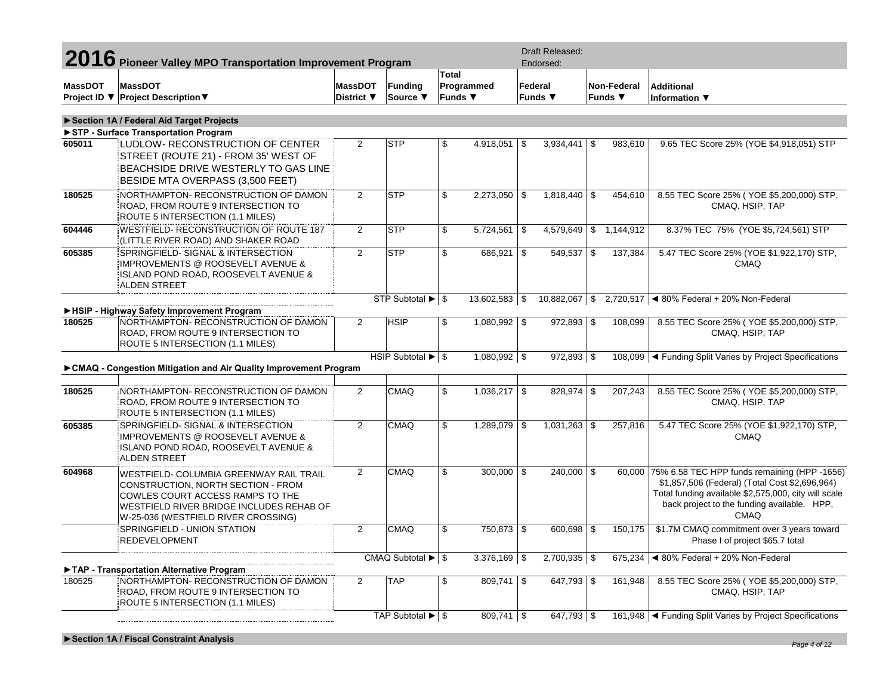|                | 2016 Pioneer Valley MPO Transportation Improvement Program                                                                                                                                           |                              |                                               |                         |                          | <b>Draft Released:</b><br>Endorsed:   |                                           |                                                                                                                                                                                                                      |
|----------------|------------------------------------------------------------------------------------------------------------------------------------------------------------------------------------------------------|------------------------------|-----------------------------------------------|-------------------------|--------------------------|---------------------------------------|-------------------------------------------|----------------------------------------------------------------------------------------------------------------------------------------------------------------------------------------------------------------------|
| <b>MassDOT</b> | <b>MassDOT</b><br>Project ID ▼ Project Description ▼                                                                                                                                                 | <b>MassDOT</b><br>District ▼ | Funding<br>Source ▼                           | Total<br>Funds ▼        | Programmed               | Federal<br>Funds $\blacktriangledown$ | Non-Federal<br>Funds $\blacktriangledown$ | <b>Additional</b><br>Information ▼                                                                                                                                                                                   |
|                | Section 1A / Federal Aid Target Projects                                                                                                                                                             |                              |                                               |                         |                          |                                       |                                           |                                                                                                                                                                                                                      |
|                | STP - Surface Transportation Program                                                                                                                                                                 |                              |                                               |                         |                          |                                       |                                           |                                                                                                                                                                                                                      |
| 605011         | LUDLOW- RECONSTRUCTION OF CENTER<br>STREET (ROUTE 21) - FROM 35' WEST OF<br>BEACHSIDE DRIVE WESTERLY TO GAS LINE<br>BESIDE MTA OVERPASS (3,500 FEET)                                                 | 2                            | <b>STP</b>                                    | \$                      | $4,918,051$ \$           | 3,934,441                             | \$<br>983,610                             | 9.65 TEC Score 25% (YOE \$4,918,051) STP                                                                                                                                                                             |
| 180525         | NORTHAMPTON-RECONSTRUCTION OF DAMON<br>ROAD, FROM ROUTE 9 INTERSECTION TO<br>ROUTE 5 INTERSECTION (1.1 MILES)                                                                                        | 2                            | <b>STP</b>                                    | \$                      | $2,273,050$ \\$          | $1,818,440$ \$                        | 454,610                                   | 8.55 TEC Score 25% (YOE \$5,200,000) STP,<br>CMAQ, HSIP, TAP                                                                                                                                                         |
| 604446         | WESTFIELD-RECONSTRUCTION OF ROUTE 187<br>(LITTLE RIVER ROAD) AND SHAKER ROAD                                                                                                                         | 2                            | <b>STP</b>                                    | \$                      | $5,724,561$ \\$          | 4,579,649                             | \$1,144,912                               | 8.37% TEC 75% (YOE \$5,724,561) STP                                                                                                                                                                                  |
| 605385         | SPRINGFIELD-SIGNAL & INTERSECTION<br><b>IMPROVEMENTS @ ROOSEVELT AVENUE &amp;</b><br>ISLAND POND ROAD, ROOSEVELT AVENUE &<br>ALDEN STREET                                                            | 2                            | <b>STP</b>                                    | \$                      | $686,921$ \$             | 549,537                               | \$<br>137,384                             | 5.47 TEC Score 25% (YOE \$1,922,170) STP,<br>CMAQ                                                                                                                                                                    |
|                |                                                                                                                                                                                                      |                              | STP Subtotal ▶ \$                             |                         | $13,602,583$ \\$         | $10,882,067$ \$                       |                                           | 2,720,517   4 80% Federal + 20% Non-Federal                                                                                                                                                                          |
|                | HSIP - Highway Safety Improvement Program                                                                                                                                                            |                              |                                               |                         |                          |                                       |                                           |                                                                                                                                                                                                                      |
| 180525         | NORTHAMPTON- RECONSTRUCTION OF DAMON<br>ROAD, FROM ROUTE 9 INTERSECTION TO<br>ROUTE 5 INTERSECTION (1.1 MILES)                                                                                       | 2                            | <b>HSIP</b>                                   | \$                      | $1,080,992$ \$           | $972,893$ \$                          | 108,099                                   | 8.55 TEC Score 25% (YOE \$5,200,000) STP,<br>CMAQ, HSIP, TAP                                                                                                                                                         |
|                | ► CMAQ - Congestion Mitigation and Air Quality Improvement Program                                                                                                                                   |                              | HSIP Subtotal $\blacktriangleright$ $\mid$ \$ |                         | $1,080,992$ \$           | $972,893$ \$                          |                                           | 108,099  ◀ Funding Split Varies by Project Specifications                                                                                                                                                            |
| 180525         | NORTHAMPTON- RECONSTRUCTION OF DAMON<br>ROAD, FROM ROUTE 9 INTERSECTION TO<br>ROUTE 5 INTERSECTION (1.1 MILES)                                                                                       | $\overline{2}$               | CMAQ                                          | \$                      | $1,036,217$ \$           | $828,974$ \$                          | 207,243                                   | 8.55 TEC Score 25% (YOE \$5,200,000) STP,<br>CMAQ, HSIP, TAP                                                                                                                                                         |
| 605385         | SPRINGFIELD- SIGNAL & INTERSECTION<br>IMPROVEMENTS @ ROOSEVELT AVENUE &<br>ISLAND POND ROAD, ROOSEVELT AVENUE &<br>ALDEN STREET                                                                      | 2                            | CMAQ                                          | \$                      | $1,289,079$ \$           |                                       | 257,816                                   | 5.47 TEC Score 25% (YOE \$1,922,170) STP,<br><b>CMAQ</b>                                                                                                                                                             |
| 604968         | WESTFIELD- COLUMBIA GREENWAY RAIL TRAIL<br>CONSTRUCTION, NORTH SECTION - FROM<br>COWLES COURT ACCESS RAMPS TO THE<br>WESTFIELD RIVER BRIDGE INCLUDES REHAB OF<br>W-25-036 (WESTFIELD RIVER CROSSING) | $\overline{2}$               | CMAQ                                          | \$                      | $300,000$ \\$            | $240,000$ \$                          |                                           | 60,000 75% 6.58 TEC HPP funds remaining (HPP -1656)<br>\$1,857,506 (Federal) (Total Cost \$2,696,964)<br>Total funding available \$2,575,000, city will scale<br>back project to the funding available. HPP,<br>CMAO |
|                | SPRINGFIELD - UNION STATION<br>REDEVELOPMENT                                                                                                                                                         | $\overline{2}$               | <b>CMAQ</b>                                   | $\overline{\mathbb{S}}$ | 750,873 \\$              | $600,698$ \$                          | 150,175                                   | \$1.7M CMAQ commitment over 3 years toward<br>Phase I of project \$65.7 total                                                                                                                                        |
|                |                                                                                                                                                                                                      |                              | CMAQ Subtotal $\blacktriangleright$ $\mid$ \$ |                         | $3,376,169$ \$           | $2,700,935$ \$                        |                                           | 675,234   480% Federal + 20% Non-Federal                                                                                                                                                                             |
| 180525         | TAP - Transportation Alternative Program<br>NORTHAMPTON-RECONSTRUCTION OF DAMON<br>ROAD, FROM ROUTE 9 INTERSECTION TO<br>ROUTE 5 INTERSECTION (1.1 MILES)                                            | 2                            | <b>TAP</b>                                    | \$                      | $\overline{809,741}$ \\$ | $647,793$ \$                          | 161,948                                   | 8.55 TEC Score 25% (YOE \$5,200,000) STP,<br>CMAQ, HSIP, TAP                                                                                                                                                         |
|                |                                                                                                                                                                                                      |                              | TAP Subtotal $\blacktriangleright$ $\mid$ \$  |                         | $809,741$ \$             | 647,793 $\frac{1}{3}$                 |                                           | 161,948   Funding Split Varies by Project Specifications                                                                                                                                                             |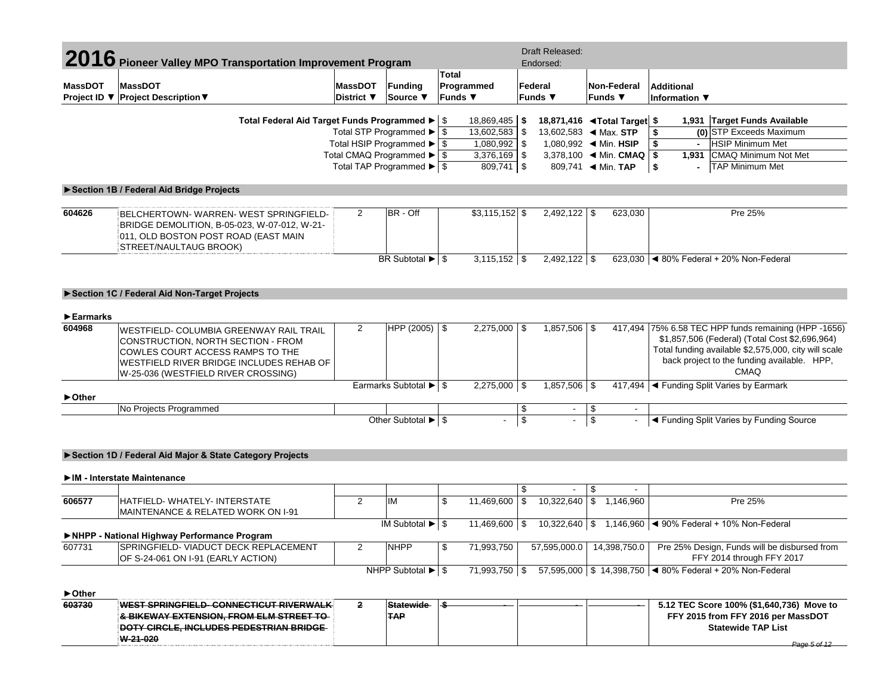|                                | 2016 Pioneer Valley MPO Transportation Improvement Program     |                              |                                                         |                       |                  |                         | Draft Released:<br>Endorsed:             |                          |                        |                                                            |
|--------------------------------|----------------------------------------------------------------|------------------------------|---------------------------------------------------------|-----------------------|------------------|-------------------------|------------------------------------------|--------------------------|------------------------|------------------------------------------------------------|
|                                |                                                                |                              |                                                         | Total                 |                  |                         |                                          |                          |                        |                                                            |
| <b>MassDOT</b>                 | <b>MassDOT</b><br>Project ID ▼ Project Description ▼           | <b>MassDOT</b><br>District ▼ | Funding<br>Source $\blacktriangledown$                  | Programmed<br>Funds ▼ |                  | Federal<br>Funds ▼      |                                          |                          | Non-Federal<br>Funds ▼ | <b>Additional</b><br>Information ▼                         |
|                                |                                                                |                              |                                                         |                       |                  |                         |                                          |                          |                        |                                                            |
|                                | Total Federal Aid Target Funds Programmed ▶   \$               |                              |                                                         |                       | 18,869,485       | - \$                    | 18,871,416 <b>◀Total Target</b> \$       |                          |                        | 1,931 Target Funds Available                               |
|                                |                                                                |                              | Total STP Programmed $\blacktriangleright$ \$           |                       | 13,602,583 \$    |                         | 13,602,583 $\blacktriangleleft$ Max. STP |                          |                        | (0) STP Exceeds Maximum<br>\$                              |
|                                |                                                                |                              | Total HSIP Programmed $\blacktriangleright$ $\mid$ \$   |                       | $1,080,992$ \$   |                         | 1,080,992 ◀ Min. HSIP                    |                          |                        | \$<br><b>HSIP Minimum Met</b>                              |
|                                |                                                                |                              | Total CMAQ Programmed $\blacktriangleright$ $\sqrt{\$}$ |                       | 3,376,169        | \$                      | 3,378,100 		 Min. CMAQ                   |                          |                        | 1,931   CMAQ Minimum Not Met<br>\$                         |
|                                |                                                                |                              | Total TAP Programmed $\blacktriangleright$ $\sqrt{3}$   |                       | $809,741$ \$     |                         |                                          |                          |                        | <b>TAP Minimum Met</b><br>\$                               |
|                                | Section 1B / Federal Aid Bridge Projects                       |                              |                                                         |                       |                  |                         |                                          |                          |                        |                                                            |
|                                |                                                                |                              |                                                         |                       |                  |                         |                                          |                          |                        |                                                            |
| 604626                         | BELCHERTOWN-WARREN-WEST SPRINGFIELD-                           | $\overline{2}$               | BR - Off                                                |                       | $$3,115,152$ \$  |                         | $2,492,122$ \$                           |                          | 623,030                | Pre 25%                                                    |
|                                | BRIDGE DEMOLITION, B-05-023, W-07-012, W-21-                   |                              |                                                         |                       |                  |                         |                                          |                          |                        |                                                            |
|                                | 011, OLD BOSTON POST ROAD (EAST MAIN<br>STREET/NAULTAUG BROOK) |                              |                                                         |                       |                  |                         |                                          |                          |                        |                                                            |
|                                |                                                                |                              | BR Subtotal $\blacktriangleright$ $\mid$ \$             |                       | $3,115,152$ \$   |                         | $2,492,122$ \$                           |                          |                        | 623,030 $\blacktriangleleft$ 80% Federal + 20% Non-Federal |
|                                |                                                                |                              |                                                         |                       |                  |                         |                                          |                          |                        |                                                            |
|                                |                                                                |                              |                                                         |                       |                  |                         |                                          |                          |                        |                                                            |
|                                | Section 1C / Federal Aid Non-Target Projects                   |                              |                                                         |                       |                  |                         |                                          |                          |                        |                                                            |
|                                |                                                                |                              |                                                         |                       |                  |                         |                                          |                          |                        |                                                            |
| $\blacktriangleright$ Earmarks |                                                                |                              |                                                         |                       |                  |                         |                                          |                          |                        |                                                            |
| 604968                         | WESTFIELD- COLUMBIA GREENWAY RAIL TRAIL                        | $\overline{2}$               | HPP $(2005)$ \$                                         |                       | $2,275,000$ \ \$ |                         | $1,857,506$ \$                           |                          |                        | 417,494 75% 6.58 TEC HPP funds remaining (HPP -1656)       |
|                                | CONSTRUCTION, NORTH SECTION - FROM                             |                              |                                                         |                       |                  |                         |                                          |                          |                        | \$1,857,506 (Federal) (Total Cost \$2,696,964)             |
|                                | COWLES COURT ACCESS RAMPS TO THE                               |                              |                                                         |                       |                  |                         |                                          |                          |                        | Total funding available \$2,575,000, city will scale       |
|                                | WESTFIELD RIVER BRIDGE INCLUDES REHAB OF                       |                              |                                                         |                       |                  |                         |                                          |                          |                        | back project to the funding available. HPP,                |
|                                | W-25-036 (WESTFIELD RIVER CROSSING)                            |                              |                                                         |                       |                  |                         |                                          |                          |                        | <b>CMAO</b>                                                |
|                                |                                                                |                              | Earmarks Subtotal $\blacktriangleright$ $\mid$ \$       |                       | $2,275,000$ \$   |                         | $1,857,506$ \$                           |                          |                        | 417,494   Funding Split Varies by Earmark                  |
| ► Other                        |                                                                |                              |                                                         |                       |                  |                         |                                          |                          |                        |                                                            |
|                                | No Projects Programmed                                         |                              |                                                         |                       |                  | \$                      |                                          | \$                       | $\sim$                 |                                                            |
|                                |                                                                |                              | Other Subtotal $\blacktriangleright$ $\mid$ \$          |                       | L.               | $\overline{\mathbf{s}}$ |                                          | $\overline{\mathcal{S}}$ | $\mathbf{r}$           | ◀ Funding Split Varies by Funding Source                   |
|                                |                                                                |                              |                                                         |                       |                  |                         |                                          |                          |                        |                                                            |
|                                | Section 1D / Federal Aid Major & State Category Projects       |                              |                                                         |                       |                  |                         |                                          |                          |                        |                                                            |
|                                | IM - Interstate Maintenance                                    |                              |                                                         |                       |                  |                         |                                          |                          |                        |                                                            |
|                                |                                                                |                              |                                                         |                       |                  |                         |                                          |                          |                        |                                                            |
|                                |                                                                |                              |                                                         |                       |                  | \$                      |                                          | \$                       |                        |                                                            |

|        | <b>IMAINTENANCE &amp; RELATED WORK ON I-91</b> |                                               |              |  |                             |                                                                                            |
|--------|------------------------------------------------|-----------------------------------------------|--------------|--|-----------------------------|--------------------------------------------------------------------------------------------|
|        |                                                | IM Subtotal $\blacktriangleright$ $\mid$ \$   |              |  |                             | 11,469,600 $\mid$ \$ 10,322,640 $\mid$ \$ 1,146,960 $\mid$ 4 90% Federal + 10% Non-Federal |
|        | ▶NHPP - National Highway Performance Program   |                                               |              |  |                             |                                                                                            |
| 607731 | SPRINGFIELD- VIADUCT DECK REPLACEMENT          | <b>NHPP</b>                                   | 71.993.750   |  | 57,595,000.0   14,398,750.0 | Pre 25% Design, Funds will be disbursed from                                               |
|        | OF S-24-061 ON I-91 (EARLY ACTION)             |                                               |              |  |                             | FFY 2014 through FFY 2017                                                                  |
|        |                                                | NHPP Subtotal $\blacktriangleright$ $\mid$ \$ | 71.993.750 S |  |                             | 57,595,000   \$ 14,398,750   ◀ 80% Federal + 20% Non-Federal                               |

#### **603730 WEST SPRINGFIELD- CONNECTICUT RIVERWALK & BIKEWAY EXTENSION, FROM ELM STREET TO DOTY CIRCLE, INCLUDES PEDESTRIAN BRIDGE W-21-020 2 Statewide TAP \$ - - - 5.12 TEC Score 100% (\$1,640,736) Move to FFY 2015 from FFY 2016 per MassDOT Statewide TAP List ►Other** *Page 5 of 12*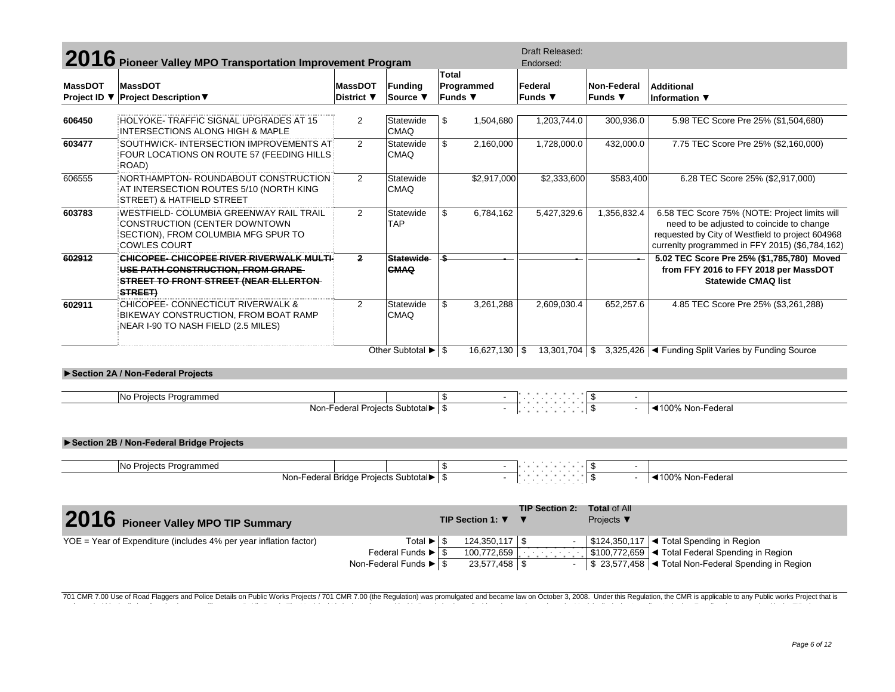|                | 2016 Pioneer Valley MPO Transportation Improvement Program                                                                                 |                |                                                              |                       |                   | <b>Draft Released:</b><br>Endorsed:           |                                                      |                                                                                                                                                                                                   |
|----------------|--------------------------------------------------------------------------------------------------------------------------------------------|----------------|--------------------------------------------------------------|-----------------------|-------------------|-----------------------------------------------|------------------------------------------------------|---------------------------------------------------------------------------------------------------------------------------------------------------------------------------------------------------|
|                |                                                                                                                                            |                |                                                              | Total                 |                   |                                               |                                                      |                                                                                                                                                                                                   |
| <b>MassDOT</b> | <b>MassDOT</b>                                                                                                                             | <b>MassDOT</b> | <b>Funding</b>                                               | Programmed            |                   | Federal                                       | Non-Federal                                          | <b>Additional</b>                                                                                                                                                                                 |
| Project ID ▼   | <b>Project Description ▼</b>                                                                                                               | District ▼     | Source ▼                                                     | <b>Funds ▼</b>        |                   | <b>Funds</b> ▼                                | Funds ▼                                              | Information ▼                                                                                                                                                                                     |
|                |                                                                                                                                            |                |                                                              |                       |                   |                                               |                                                      |                                                                                                                                                                                                   |
| 606450         | HOLYOKE- TRAFFIC SIGNAL UPGRADES AT 15<br><b>INTERSECTIONS ALONG HIGH &amp; MAPLE</b>                                                      | 2              | Statewide<br><b>CMAQ</b>                                     | \$                    | 1,504,680         | 1,203,744.0                                   | 300,936.0                                            | 5.98 TEC Score Pre 25% (\$1,504,680)                                                                                                                                                              |
| 603477         | SOUTHWICK- INTERSECTION IMPROVEMENTS AT<br>FOUR LOCATIONS ON ROUTE 57 (FEEDING HILLS<br>ROAD)                                              | 2              | Statewide<br><b>CMAQ</b>                                     | \$                    | 2,160,000         | 1,728,000.0                                   | 432,000.0                                            | 7.75 TEC Score Pre 25% (\$2,160,000)                                                                                                                                                              |
| 606555         | NORTHAMPTON- ROUNDABOUT CONSTRUCTION<br>AT INTERSECTION ROUTES 5/10 (NORTH KING<br>STREET) & HATFIELD STREET                               | 2              | Statewide<br><b>CMAQ</b>                                     |                       | \$2,917,000       | \$2,333,600                                   | \$583,400                                            | 6.28 TEC Score 25% (\$2,917,000)                                                                                                                                                                  |
| 603783         | WESTFIELD- COLUMBIA GREENWAY RAIL TRAIL<br>CONSTRUCTION (CENTER DOWNTOWN<br>SECTION), FROM COLUMBIA MFG SPUR TO<br><b>COWLES COURT</b>     | 2              | Statewide<br><b>TAP</b>                                      | \$                    | 6,784,162         | 5,427,329.6                                   | 1,356,832.4                                          | 6.58 TEC Score 75% (NOTE: Project limits will<br>need to be adjusted to coincide to change<br>requested by City of Westfield to project 604968<br>currenlty programmed in FFY 2015) (\$6,784,162) |
| 602912         | CHICOPEE- CHICOPEE RIVER RIVERWALK MULTI-<br>USE PATH CONSTRUCTION, FROM GRAPE<br>STREET TO FRONT STREET (NEAR ELLERTON-<br><b>STREET)</b> | $\overline{2}$ | <b>Statewide</b><br><b>CMAQ</b>                              | \$                    |                   |                                               |                                                      | 5.02 TEC Score Pre 25% (\$1,785,780) Moved<br>from FFY 2016 to FFY 2018 per MassDOT<br><b>Statewide CMAQ list</b>                                                                                 |
| 602911         | CHICOPEE- CONNECTICUT RIVERWALK &<br>BIKEWAY CONSTRUCTION, FROM BOAT RAMP<br>NEAR I-90 TO NASH FIELD (2.5 MILES)                           | 2              | Statewide<br><b>CMAQ</b>                                     | \$                    | 3,261,288         | 2,609,030.4                                   | 652,257.6                                            | 4.85 TEC Score Pre 25% (\$3,261,288)                                                                                                                                                              |
|                |                                                                                                                                            |                | Other Subtotal ▶ \$                                          |                       | $16,627,130$ \ \$ | $13,301,704$ \$                               |                                                      | 3,325,426  < Funding Split Varies by Funding Source                                                                                                                                               |
|                | Section 2A / Non-Federal Projects                                                                                                          |                |                                                              |                       |                   |                                               |                                                      |                                                                                                                                                                                                   |
|                |                                                                                                                                            |                |                                                              |                       |                   |                                               |                                                      |                                                                                                                                                                                                   |
|                | No Projects Programmed                                                                                                                     |                |                                                              | \$                    |                   |                                               | $\sim$                                               |                                                                                                                                                                                                   |
|                |                                                                                                                                            |                | Non-Federal Projects Subtotal > \$                           |                       |                   |                                               |                                                      | ◀100% Non-Federal                                                                                                                                                                                 |
|                |                                                                                                                                            |                |                                                              |                       |                   |                                               |                                                      |                                                                                                                                                                                                   |
|                | Section 2B / Non-Federal Bridge Projects                                                                                                   |                |                                                              |                       |                   |                                               |                                                      |                                                                                                                                                                                                   |
|                |                                                                                                                                            |                |                                                              |                       |                   |                                               |                                                      |                                                                                                                                                                                                   |
|                | No Projects Programmed                                                                                                                     |                |                                                              | \$                    |                   |                                               | \$<br>$\sim$                                         |                                                                                                                                                                                                   |
|                |                                                                                                                                            |                | Non-Federal Bridge Projects Subtotal > \$                    |                       |                   |                                               |                                                      | ◀100% Non-Federal                                                                                                                                                                                 |
|                | 2016 Pioneer Valley MPO TIP Summary                                                                                                        |                |                                                              | TIP Section 1: $\Psi$ |                   | <b>TIP Section 2:</b><br>$\blacktriangledown$ | <b>Total of All</b><br>Projects $\blacktriangledown$ |                                                                                                                                                                                                   |
|                | YOE = Year of Expenditure (includes 4% per year inflation factor)                                                                          |                | Total $\blacktriangleright$ $\mid$ \$                        |                       | $124,350,117$ \$  |                                               |                                                      | $$124,350,117$ < Total Spending in Region                                                                                                                                                         |
|                |                                                                                                                                            |                | Federal Funds $\blacktriangleright$ $\blacktriangleright$ \$ |                       | 100,772,659       |                                               |                                                      | \$100,772,659   ◀ Total Federal Spending in Region                                                                                                                                                |
|                |                                                                                                                                            |                | Non-Federal Funds $\blacktriangleright$ $\mid$ \$            |                       |                   |                                               |                                                      | \$23,577,458   <total in="" non-federal="" region<="" spending="" td=""></total>                                                                                                                  |

701 CMR 7.00 Use of Road Flaggers and Police Details on Public Works Projects / 701 CMR 7.00 (the Regulation) was promulgated and became law on October 3, 2008. Under this Regulation, the CMR is applicable to any Public wo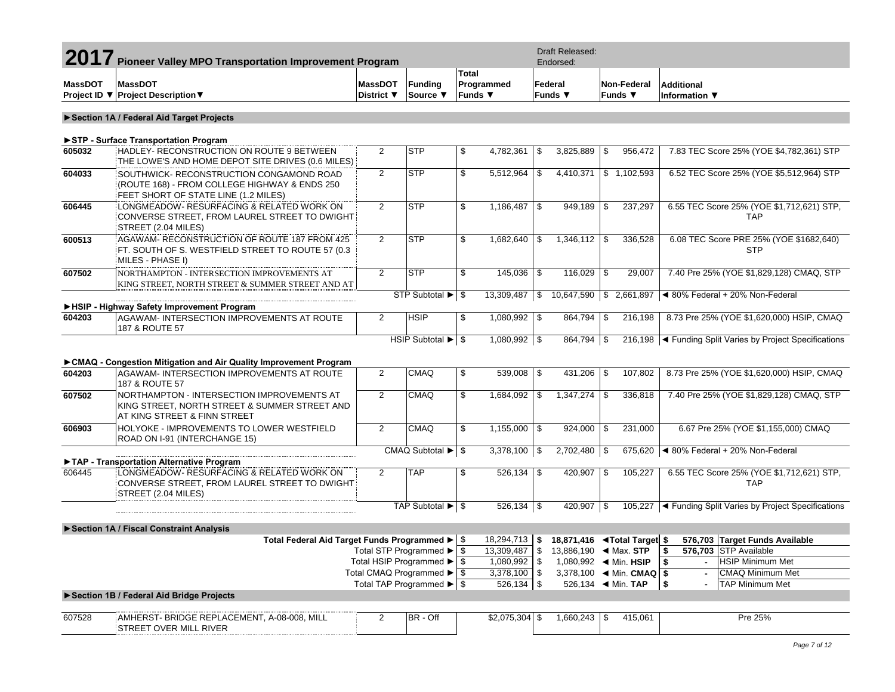| 2017<br><b>Pioneer Valley MPO Transportation Improvement Program</b> |                                                                                                                                   |                |                                                         |              |                       |                    | Draft Released:<br>Endorsed:                            |     |                            |                                  |                                                                             |  |
|----------------------------------------------------------------------|-----------------------------------------------------------------------------------------------------------------------------------|----------------|---------------------------------------------------------|--------------|-----------------------|--------------------|---------------------------------------------------------|-----|----------------------------|----------------------------------|-----------------------------------------------------------------------------|--|
| <b>MassDOT</b>                                                       | <b>MassDOT</b>                                                                                                                    | <b>MassDOT</b> | <b>Funding</b>                                          | <b>Total</b> | Programmed            |                    | Federal                                                 |     | Non-Federal                | <b>Additional</b>                |                                                                             |  |
|                                                                      | Project ID ▼ Project Description ▼                                                                                                | District ▼     | Source ▼                                                |              | Funds $\Psi$          |                    | Funds ▼                                                 |     | Funds $\blacktriangledown$ | Information $\blacktriangledown$ |                                                                             |  |
|                                                                      |                                                                                                                                   |                |                                                         |              |                       |                    |                                                         |     |                            |                                  |                                                                             |  |
|                                                                      | Section 1A / Federal Aid Target Projects                                                                                          |                |                                                         |              |                       |                    |                                                         |     |                            |                                  |                                                                             |  |
|                                                                      | STP - Surface Transportation Program                                                                                              |                |                                                         |              |                       |                    |                                                         |     |                            |                                  |                                                                             |  |
| 605032                                                               | HADLEY- RECONSTRUCTION ON ROUTE 9 BETWEEN<br>THE LOWE'S AND HOME DEPOT SITE DRIVES (0.6 MILES)                                    | $\overline{2}$ | <b>STP</b>                                              | \$           | 4,782,361             | \$                 | 3,825,889                                               | \$  | 956,472                    |                                  | 7.83 TEC Score 25% (YOE \$4,782,361) STP                                    |  |
| 604033                                                               | SOUTHWICK- RECONSTRUCTION CONGAMOND ROAD<br>(ROUTE 168) - FROM COLLEGE HIGHWAY & ENDS 250<br>FEET SHORT OF STATE LINE (1.2 MILES) | $\overline{2}$ | <b>STP</b>                                              | \$           | 5,512,964             | \$                 | 4,410,371                                               |     | \$1,102,593                |                                  | 6.52 TEC Score 25% (YOE \$5,512,964) STP                                    |  |
| 606445                                                               | LONGMEADOW- RESURFACING & RELATED WORK ON<br>CONVERSE STREET, FROM LAUREL STREET TO DWIGHT<br>STREET (2.04 MILES)                 | $\overline{2}$ | <b>STP</b>                                              | \$           | 1,186,487             | -\$                | 949.189                                                 | \$  | 237,297                    |                                  | 6.55 TEC Score 25% (YOE \$1,712,621) STP,<br><b>TAP</b>                     |  |
| 600513                                                               | AGAWAM-RECONSTRUCTION OF ROUTE 187 FROM 425<br>FT. SOUTH OF S. WESTFIELD STREET TO ROUTE 57 (0.3)<br>MILES - PHASE I)             | $\overline{2}$ | <b>STP</b>                                              | \$           | 1,682,640             | l \$               | $1,346,112$ \$                                          |     | 336,528                    |                                  | 6.08 TEC Score PRE 25% (YOE \$1682,640)<br><b>STP</b>                       |  |
| 607502                                                               | NORTHAMPTON - INTERSECTION IMPROVEMENTS AT<br>KING STREET, NORTH STREET & SUMMER STREET AND AT                                    | $\overline{2}$ | <b>STP</b><br>STP Subtotal ▶ \$                         | \$           | 145,036<br>13,309,487 | l \$<br>$\vert$ \$ | 116,029<br>$10,647,590$ \$ 2,661,897                    | \$  | 29,007                     |                                  | 7.40 Pre 25% (YOE \$1,829,128) CMAQ, STP<br>◀ 80% Federal + 20% Non-Federal |  |
|                                                                      | HSIP - Highway Safety Improvement Program                                                                                         |                |                                                         |              |                       |                    |                                                         |     |                            |                                  |                                                                             |  |
| 604203                                                               | AGAWAM- INTERSECTION IMPROVEMENTS AT ROUTE<br>187 & ROUTE 57                                                                      | $\overline{2}$ | <b>HSIP</b>                                             | \$           | $1,080,992$ \$        |                    | 864,794                                                 | -\$ | 216,198                    |                                  | 8.73 Pre 25% (YOE \$1,620,000) HSIP, CMAQ                                   |  |
|                                                                      |                                                                                                                                   |                | HSIP Subtotal ▶ \$                                      |              | $1,080,992$ \$        |                    | 864,794 \$                                              |     |                            |                                  | 216,198   Funding Split Varies by Project Specifications                    |  |
|                                                                      | ► CMAQ - Congestion Mitigation and Air Quality Improvement Program                                                                |                |                                                         |              |                       |                    |                                                         |     |                            |                                  |                                                                             |  |
| 604203                                                               | AGAWAM- INTERSECTION IMPROVEMENTS AT ROUTE<br>187 & ROUTE 57                                                                      | $\overline{2}$ | <b>CMAQ</b>                                             | \$           | $539,008$ \$          |                    | $431,206$ \$                                            |     | 107,802                    |                                  | 8.73 Pre 25% (YOE \$1,620,000) HSIP, CMAQ                                   |  |
| 607502                                                               | NORTHAMPTON - INTERSECTION IMPROVEMENTS AT<br>KING STREET, NORTH STREET & SUMMER STREET AND<br>AT KING STREET & FINN STREET       | $\overline{2}$ | <b>CMAQ</b>                                             | \$           | 1,684,092             | l \$               | 1,347,274                                               | \$  | 336,818                    |                                  | 7.40 Pre 25% (YOE \$1,829,128) CMAQ, STP                                    |  |
| 606903                                                               | HOLYOKE - IMPROVEMENTS TO LOWER WESTFIELD<br>ROAD ON I-91 (INTERCHANGE 15)                                                        | $\overline{2}$ | <b>CMAQ</b>                                             | \$           | $1,155,000$ \ \$      |                    | 924,000                                                 | \$  | 231,000                    |                                  | 6.67 Pre 25% (YOE \$1,155,000) CMAQ                                         |  |
|                                                                      | TAP - Transportation Alternative Program                                                                                          |                | CMAQ Subtotal $\blacktriangleright$ $\frac{1}{9}$       |              | $3,378,100$ \$        |                    | $2,702,480$ \$                                          |     |                            |                                  | 675,620 $\blacktriangleleft$ 80% Federal + 20% Non-Federal                  |  |
| 606445                                                               | LONGMEADOW- RESURFACING & RELATED WORK ON<br>CONVERSE STREET, FROM LAUREL STREET TO DWIGHT<br>STREET (2.04 MILES)                 | $\overline{2}$ | <b>TAP</b>                                              | \$           | $526,134$ \$          |                    | 420,907                                                 | \$  | 105,227                    |                                  | 6.55 TEC Score 25% (YOE \$1,712,621) STP,<br><b>TAP</b>                     |  |
|                                                                      |                                                                                                                                   |                | TAP Subtotal ▶ \$                                       |              | $526,134$ \$          |                    | 420,907 \$                                              |     |                            |                                  | 105,227   < Funding Split Varies by Project Specifications                  |  |
|                                                                      | Section 1A / Fiscal Constraint Analysis                                                                                           |                |                                                         |              |                       |                    |                                                         |     |                            |                                  |                                                                             |  |
|                                                                      | Total Federal Aid Target Funds Programmed ▶ S                                                                                     |                |                                                         |              | $18,294,713$ \$       |                    | 18,871,416 <b><total \$<="" b="" target=""></total></b> |     |                            |                                  | 576,703 Target Funds Available                                              |  |
|                                                                      |                                                                                                                                   |                | Total STP Programmed ▶   \$                             |              | 13,309,487            | 3⊳                 | 13,886,190 $\blacktriangleleft$ Max. STP                |     |                            |                                  | 576,703 STP Available                                                       |  |
|                                                                      |                                                                                                                                   |                | Total HSIP Programmed ▶   \$                            |              | 1,080,992 \$          |                    |                                                         |     |                            | -\$<br>$\sim$                    | <b>HSIP Minimum Met</b>                                                     |  |
|                                                                      |                                                                                                                                   |                | Total CMAQ Programmed $\blacktriangleright$ $\sqrt{\$}$ |              | $3,378,100$ \$        |                    |                                                         |     |                            |                                  | CMAQ Minimum Met                                                            |  |
|                                                                      |                                                                                                                                   |                | Total TAP Programmed $\blacktriangleright$ $\sqrt{\$}$  |              | 526,134 \$            |                    | 526,134 		 Min. TAP                                     |     |                            | \$                               | <b>TAP Minimum Met</b>                                                      |  |
|                                                                      | Section 1B / Federal Aid Bridge Projects                                                                                          |                |                                                         |              |                       |                    |                                                         |     |                            |                                  |                                                                             |  |
| 607528                                                               | AMHERST- BRIDGE REPLACEMENT, A-08-008, MILL<br>STREET OVER MILL RIVER                                                             | $\overline{2}$ | BR - Off                                                |              | $$2,075,304$ \$       |                    |                                                         |     | 415,061                    |                                  | Pre 25%                                                                     |  |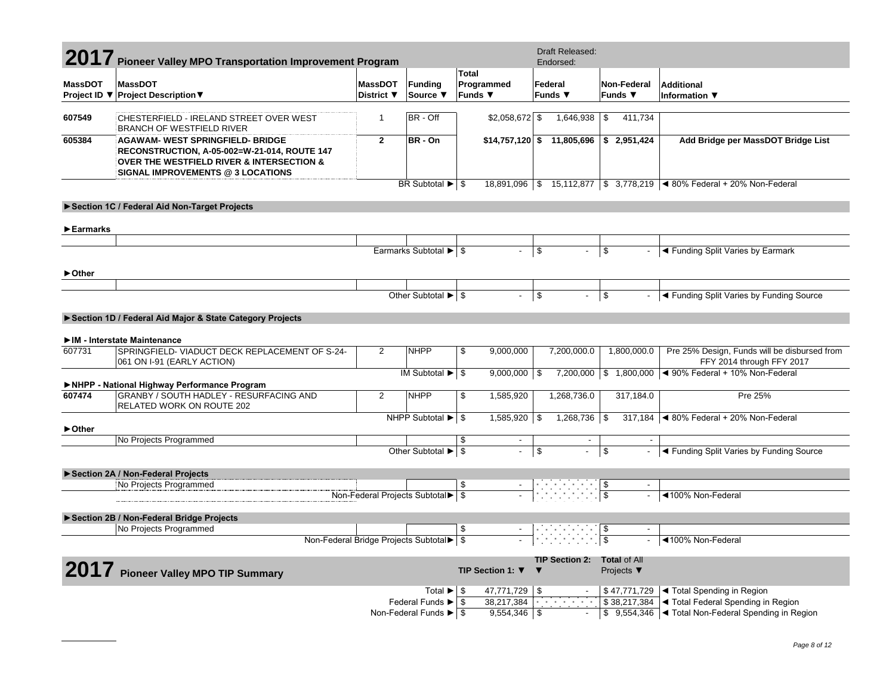|                                | 2017 Pioneer Valley MPO Transportation Improvement Program                                                                                                                                      |                |                                                      |                          |                | Draft Released:<br>Endorsed:       |                 |                               |                                                                             |
|--------------------------------|-------------------------------------------------------------------------------------------------------------------------------------------------------------------------------------------------|----------------|------------------------------------------------------|--------------------------|----------------|------------------------------------|-----------------|-------------------------------|-----------------------------------------------------------------------------|
|                                |                                                                                                                                                                                                 |                |                                                      | Total                    |                |                                    |                 |                               |                                                                             |
| <b>MassDOT</b>                 | <b>MassDOT</b>                                                                                                                                                                                  | <b>MassDOT</b> | <b>Funding</b>                                       | Programmed               |                | Federal                            |                 | <b>Non-Federal</b>            | <b>Additional</b>                                                           |
|                                | Project ID ▼ Project Description ▼                                                                                                                                                              | District ▼     | Source ▼                                             | Funds $\Psi$             |                | Funds $\Psi$                       |                 | Funds $\Psi$                  | Information $\nabla$                                                        |
| 607549                         | CHESTERFIELD - IRELAND STREET OVER WEST<br><b>BRANCH OF WESTFIELD RIVER</b>                                                                                                                     | $\mathbf{1}$   | BR - Off                                             | $$2,058,672$ \$          |                | 1,646,938                          | $\sqrt{3}$      | 411,734                       |                                                                             |
| 605384                         | <b>AGAWAM- WEST SPRINGFIELD- BRIDGE</b><br>RECONSTRUCTION, A-05-002=W-21-014, ROUTE 147<br><b>OVER THE WESTFIELD RIVER &amp; INTERSECTION &amp;</b><br><b>SIGNAL IMPROVEMENTS @ 3 LOCATIONS</b> | $\overline{2}$ | BR - On                                              |                          |                | $$14,757,120$ \$ 11,805,696        |                 | \$2,951,424                   | Add Bridge per MassDOT Bridge List                                          |
|                                |                                                                                                                                                                                                 |                | BR Subtotal $\blacktriangleright$ $\mid$ \$          |                          |                |                                    |                 |                               | 18,891,096   \$ 15,112,877   \$ 3,778,219   < 80% Federal + 20% Non-Federal |
|                                | Section 1C / Federal Aid Non-Target Projects                                                                                                                                                    |                |                                                      |                          |                |                                    |                 |                               |                                                                             |
|                                |                                                                                                                                                                                                 |                |                                                      |                          |                |                                    |                 |                               |                                                                             |
| $\blacktriangleright$ Earmarks |                                                                                                                                                                                                 |                |                                                      |                          |                |                                    |                 |                               |                                                                             |
|                                |                                                                                                                                                                                                 |                | Earmarks Subtotal ▶   \$                             | $\blacksquare$           | \$             |                                    | \$              |                               | ◀ Funding Split Varies by Earmark                                           |
| ► Other                        |                                                                                                                                                                                                 |                |                                                      |                          |                |                                    |                 |                               |                                                                             |
|                                |                                                                                                                                                                                                 |                |                                                      |                          |                |                                    |                 |                               |                                                                             |
|                                |                                                                                                                                                                                                 |                | Other Subtotal $\blacktriangleright$ $\mid$ \$       | $\overline{\phantom{a}}$ | \$             |                                    | \$              |                               | ◀ Funding Split Varies by Funding Source                                    |
|                                | Section 1D / Federal Aid Major & State Category Projects                                                                                                                                        |                |                                                      |                          |                |                                    |                 |                               |                                                                             |
|                                |                                                                                                                                                                                                 |                |                                                      |                          |                |                                    |                 |                               |                                                                             |
|                                | IM - Interstate Maintenance                                                                                                                                                                     |                |                                                      |                          |                |                                    |                 |                               |                                                                             |
| 607731                         | SPRINGFIELD- VIADUCT DECK REPLACEMENT OF S-24-<br>061 ON I-91 (EARLY ACTION)                                                                                                                    | $\overline{2}$ | <b>NHPP</b>                                          | \$<br>9,000,000          |                | 7,200,000.0                        |                 | 1,800,000.0                   | Pre 25% Design, Funds will be disbursed from<br>FFY 2014 through FFY 2017   |
|                                |                                                                                                                                                                                                 |                | IM Subtotal $\blacktriangleright$ $\mid$ \$          | 9,000,000                | -\$            |                                    |                 |                               | 7,200,000   \$ 1,800,000   < 90% Federal + 10% Non-Federal                  |
| 607474                         | NHPP - National Highway Performance Program<br>GRANBY / SOUTH HADLEY - RESURFACING AND                                                                                                          | 2              | <b>NHPP</b>                                          | \$<br>1,585,920          |                | 1,268,736.0                        |                 | 317,184.0                     | Pre 25%                                                                     |
|                                | <b>RELATED WORK ON ROUTE 202</b>                                                                                                                                                                |                |                                                      |                          |                |                                    |                 |                               |                                                                             |
|                                |                                                                                                                                                                                                 |                | NHPP Subtotal $\blacktriangleright$ $\mid$ \$        | $1,585,920$ \\$          |                | $1,268,736$ \ \ \$                 |                 |                               | 317,184   480% Federal + 20% Non-Federal                                    |
| ► Other                        |                                                                                                                                                                                                 |                |                                                      | \$                       |                |                                    |                 |                               |                                                                             |
|                                | No Projects Programmed                                                                                                                                                                          |                | Other Subtotal $\overline{\blacktriangleright}$ \$   | $\blacksquare$           | $\mathfrak{s}$ |                                    | $\mathbf{s}$    |                               | ◀ Funding Split Varies by Funding Source                                    |
|                                |                                                                                                                                                                                                 |                |                                                      |                          |                |                                    |                 |                               |                                                                             |
|                                | Section 2A / Non-Federal Projects                                                                                                                                                               |                |                                                      |                          |                |                                    |                 |                               |                                                                             |
|                                | No Projects Programmed                                                                                                                                                                          |                | Non-Federal Projects Subtotal > \$                   | \$                       |                | $\frac{\$}{\$}$                    |                 | $\overline{\phantom{a}}$      | ◀100% Non-Federal                                                           |
|                                |                                                                                                                                                                                                 |                |                                                      |                          |                |                                    |                 |                               |                                                                             |
|                                | Section 2B / Non-Federal Bridge Projects                                                                                                                                                        |                |                                                      |                          |                |                                    |                 |                               |                                                                             |
|                                | No Projects Programmed                                                                                                                                                                          |                |                                                      | \$                       |                |                                    | \$              |                               |                                                                             |
|                                | Non-Federal Bridge Projects Subtotal ▶   \$                                                                                                                                                     |                |                                                      |                          |                |                                    | $\overline{\$}$ |                               | ◀100% Non-Federal                                                           |
|                                |                                                                                                                                                                                                 |                |                                                      |                          |                | TIP Section 2: Total of All        |                 |                               |                                                                             |
|                                | 2017 Pioneer Valley MPO TIP Summary                                                                                                                                                             |                |                                                      | TIP Section 1: $\Psi$    | ▼              |                                    |                 | Projects $\blacktriangledown$ |                                                                             |
|                                |                                                                                                                                                                                                 |                | Total $\blacktriangleright$ $\blacktriangleright$ \$ | 47,771,729               | -\$            |                                    |                 |                               | \$47,771,729  ◀ Total Spending in Region                                    |
|                                |                                                                                                                                                                                                 |                | Federal Funds $\blacktriangleright$ $\mid$ \$        | 38,217,384               |                | <b>All All All All All All All</b> |                 |                               | \$38,217,384   ◀ Total Federal Spending in Region                           |
|                                |                                                                                                                                                                                                 |                |                                                      | 9,554,346                | -\$            |                                    |                 |                               | \$ 9,554,346   I Total Non-Federal Spending in Region                       |

 $\overline{\phantom{a}}$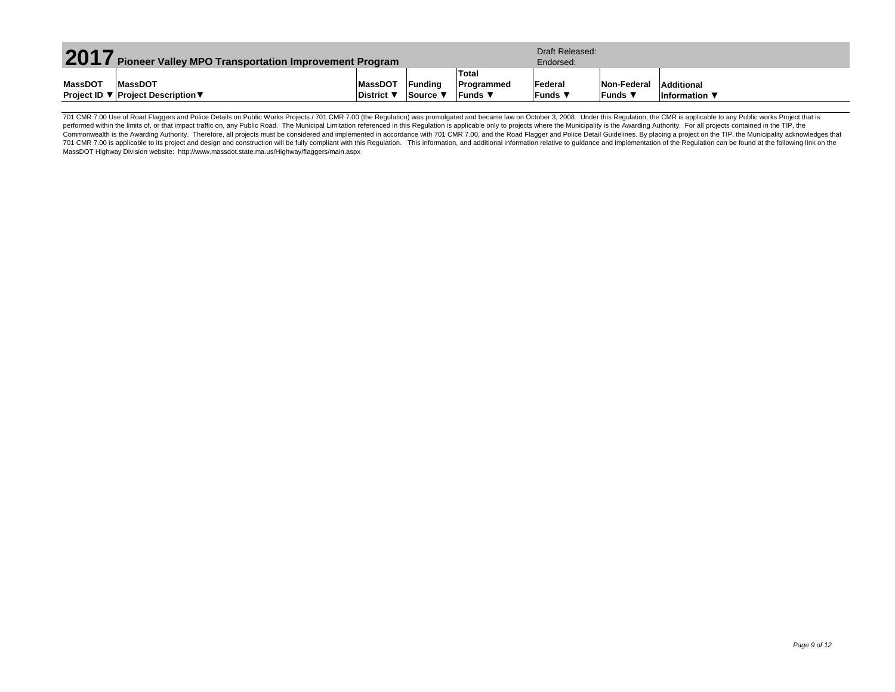| 2017<br><b>Pioneer Valley MPO Transportation Improvement Program</b> |                                    |                 |                |              | Draft Released:<br>Endorsed: |                 |                      |  |  |
|----------------------------------------------------------------------|------------------------------------|-----------------|----------------|--------------|------------------------------|-----------------|----------------------|--|--|
|                                                                      |                                    |                 |                | <b>Total</b> |                              |                 |                      |  |  |
| MassDOT                                                              | <b>MassDOT</b>                     | <b>MassDOT</b>  | <b>Funding</b> | Programmed   | Federal                      | Non-Federal     | Additional           |  |  |
|                                                                      | Project ID ▼ Project Description ▼ | <b>District</b> | Source '       | ⊪Funds ▼     | <b>Funds</b> ▼               | <b>IFunds</b> ▼ | <b>Information</b> ▼ |  |  |

701 CMR 7.00 Use of Road Flaggers and Police Details on Public Works Projects / 701 CMR 7.00 (the Regulation) was promulgated and became law on October 3, 2008. Under this Regulation, the CMR is applicable to any Public wo performed within the limits of, or that impact traffic on, any Public Road. The Municipal Limitation referenced in this Regulation is applicable only to projects where the Municipality is the Awarding Authority. For all pr Commonwealth is the Awarding Authority. Therefore, all projects must be considered and implemented in accordance with 701 CMR 7.00, and the Road Flagger and Police Detail Guidelines. By placing a project on the TIP, the Mu 701 CMR 7.00 is applicable to its project and design and construction will be fully compliant with this Regulation. This information, and additional information relative to guidance and implementation of the Regulation can MassDOT Highway Division website: http://www.massdot.state.ma.us/Highway/flaggers/main.aspx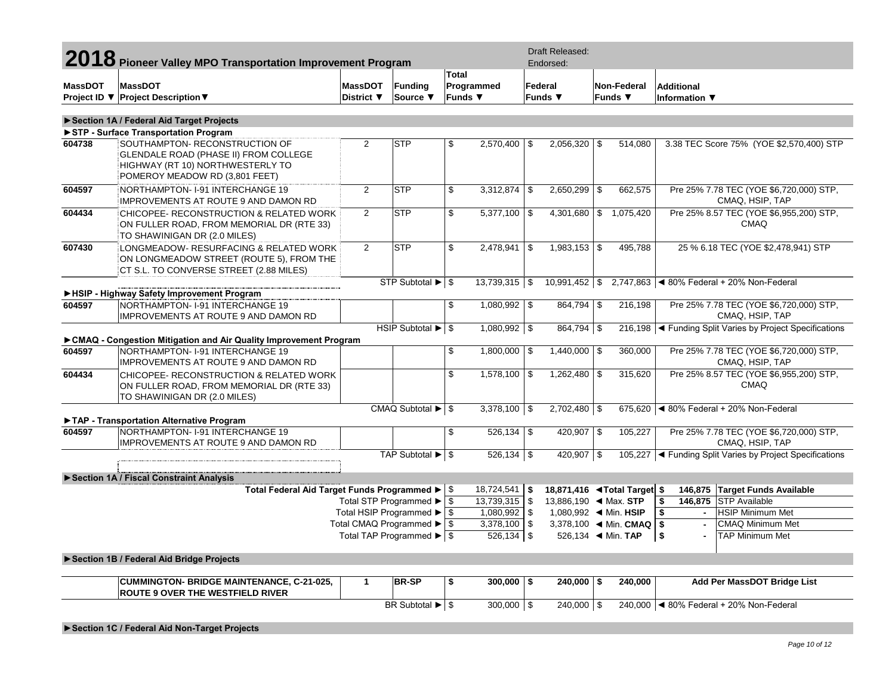|                | 2018 Pioneer Valley MPO Transportation Improvement Program                                                                                    |                              |                                                                                 |              |                              |          | Draft Released:<br>Endorsed:                                         |  |                      |                                                            |        |                                                            |
|----------------|-----------------------------------------------------------------------------------------------------------------------------------------------|------------------------------|---------------------------------------------------------------------------------|--------------|------------------------------|----------|----------------------------------------------------------------------|--|----------------------|------------------------------------------------------------|--------|------------------------------------------------------------|
| <b>MassDOT</b> | <b>MassDOT</b><br>Project ID ▼ Project Description ▼                                                                                          | <b>MassDOT</b><br>District ▼ | Funding<br>Source ▼                                                             | <b>Total</b> | Programmed<br><b>Funds ▼</b> |          | Federal<br>Non-Federal<br>Funds $\Psi$<br>Funds $\blacktriangledown$ |  |                      | <b>Additional</b><br><b>Information</b> ▼                  |        |                                                            |
|                |                                                                                                                                               |                              |                                                                                 |              |                              |          |                                                                      |  |                      |                                                            |        |                                                            |
|                | Section 1A / Federal Aid Target Projects<br>STP - Surface Transportation Program                                                              |                              |                                                                                 |              |                              |          |                                                                      |  |                      |                                                            |        |                                                            |
| 604738         | SOUTHAMPTON- RECONSTRUCTION OF<br>GLENDALE ROAD (PHASE II) FROM COLLEGE<br>HIGHWAY (RT 10) NORTHWESTERLY TO<br>POMEROY MEADOW RD (3,801 FEET) | $\overline{2}$               | lstp                                                                            | \$           | 2,570,400                    | \$       | $2,056,320$ \$                                                       |  | 514,080              |                                                            |        | 3.38 TEC Score 75% (YOE \$2,570,400) STP                   |
| 604597         | NORTHAMPTON-1-91 INTERCHANGE 19<br>IMPROVEMENTS AT ROUTE 9 AND DAMON RD                                                                       | $\overline{2}$               | <b>STP</b>                                                                      | \$           | 3,312,874                    | l \$     | $2,650,299$ \$                                                       |  | 662,575              |                                                            |        | Pre 25% 7.78 TEC (YOE \$6,720,000) STP,<br>CMAQ, HSIP, TAP |
| 604434         | CHICOPEE- RECONSTRUCTION & RELATED WORK<br>ON FULLER ROAD, FROM MEMORIAL DR (RTE 33)<br>TO SHAWINIGAN DR (2.0 MILES)                          | $\overline{2}$               | <b>STP</b>                                                                      | \$           | 5,377,100                    | \$       | 4,301,680                                                            |  | \$1,075,420          | Pre 25% 8.57 TEC (YOE \$6,955,200) STP,<br><b>CMAQ</b>     |        |                                                            |
| 607430         | LONGMEADOW- RESURFACING & RELATED WORK<br>ON LONGMEADOW STREET (ROUTE 5), FROM THE<br>CT S.L. TO CONVERSE STREET (2.88 MILES)                 | $\overline{2}$               | lstp                                                                            | \$           | 2,478,941                    | \$       | $1,983,153$ \$                                                       |  | 495,788              | 25 % 6.18 TEC (YOE \$2,478,941) STP                        |        |                                                            |
|                |                                                                                                                                               |                              | STP Subtotal $\blacktriangleright$ $\mid$ \$                                    |              | $13,739,315$ \\$             |          | $10,991,452$ \$                                                      |  |                      |                                                            |        | 2,747,863 $\mid$ < 80% Federal + 20% Non-Federal           |
|                | HSIP - Highway Safety Improvement Program                                                                                                     |                              |                                                                                 |              |                              |          |                                                                      |  |                      |                                                            |        |                                                            |
| 604597         | NORTHAMPTON- I-91 INTERCHANGE 19<br><b>IMPROVEMENTS AT ROUTE 9 AND DAMON RD</b>                                                               |                              |                                                                                 | \$           | $1,080,992$ \$               |          | $864,794$ \$                                                         |  | 216,198              |                                                            |        | Pre 25% 7.78 TEC (YOE \$6,720,000) STP,<br>CMAQ, HSIP, TAP |
|                |                                                                                                                                               |                              | HSIP Subtotal $\blacktriangleright$ $\mid$ \$                                   |              | $1,080,992$ \$               |          | $864,794$ \$                                                         |  |                      |                                                            |        | 216,198   Funding Split Varies by Project Specifications   |
|                | ► CMAQ - Congestion Mitigation and Air Quality Improvement Program                                                                            |                              |                                                                                 |              |                              |          |                                                                      |  |                      |                                                            |        |                                                            |
| 604597         | NORTHAMPTON-1-91 INTERCHANGE 19<br><b>IMPROVEMENTS AT ROUTE 9 AND DAMON RD</b>                                                                |                              |                                                                                 | \$           | $1,800,000$ \\$              |          | $1,440,000$ \$                                                       |  | 360,000              | Pre 25% 7.78 TEC (YOE \$6,720,000) STP,<br>CMAQ, HSIP, TAP |        |                                                            |
| 604434         | CHICOPEE- RECONSTRUCTION & RELATED WORK<br>ON FULLER ROAD, FROM MEMORIAL DR (RTE 33)<br>TO SHAWINIGAN DR (2.0 MILES)                          |                              |                                                                                 | \$           | $1,578,100$ \\$              |          | $1,262,480$ \$                                                       |  | 315,620              | Pre 25% 8.57 TEC (YOE \$6,955,200) STP,<br><b>CMAQ</b>     |        |                                                            |
|                | TAP - Transportation Alternative Program                                                                                                      |                              | CMAQ Subtotal $\blacktriangleright$ $\mid$ \$                                   |              | $3,378,100$ \\$              |          | $2,702,480$ \$                                                       |  |                      |                                                            |        | 675,620   4 80% Federal + 20% Non-Federal                  |
| 604597         | NORTHAMPTON-1-91 INTERCHANGE 19<br><b>IMPROVEMENTS AT ROUTE 9 AND DAMON RD</b>                                                                |                              |                                                                                 | \$           | $526,134$ \\$                |          | 420,907 \$                                                           |  | 105,227              |                                                            |        | Pre 25% 7.78 TEC (YOE \$6,720,000) STP,<br>CMAQ, HSIP, TAP |
|                |                                                                                                                                               |                              | TAP Subtotal $\blacktriangleright$ $\mid$ \$                                    |              | $526,134$ \\$                |          | $420,907$ \$                                                         |  |                      |                                                            |        | 105,227   Funding Split Varies by Project Specifications   |
|                | Section 1A / Fiscal Constraint Analysis                                                                                                       |                              |                                                                                 |              |                              |          |                                                                      |  |                      |                                                            |        |                                                            |
|                | Total Federal Aid Target Funds Programmed ▶ \$                                                                                                |                              |                                                                                 |              | 18,724,541                   | \$       | 18,871,416 <b>◄ Total Target</b> \$                                  |  |                      |                                                            |        | 146,875 Target Funds Available                             |
|                |                                                                                                                                               |                              | Total STP Programmed ▶                                                          | $\sqrt{3}$   | $13,739,315$ \$              |          |                                                                      |  |                      | \$                                                         |        | 146,875 STP Available                                      |
|                |                                                                                                                                               |                              | Total HSIP Programmed >                                                         | <b>S</b>     | 1,080,992                    | \$       |                                                                      |  |                      | \$                                                         | $\sim$ | <b>HSIP Minimum Met</b>                                    |
|                |                                                                                                                                               |                              | Total CMAQ Programmed ▶<br>Total TAP Programmed $\blacktriangleright$ $\mid$ \$ | \$           | 3,378,100<br>$526,134$ \$    | <b>S</b> |                                                                      |  | 526,134 			 Min. TAP | \$<br>\$                                                   |        | CMAQ Minimum Met<br>TAP Minimum Met                        |
|                | Section 1B / Federal Aid Bridge Projects                                                                                                      |                              |                                                                                 |              |                              |          |                                                                      |  |                      |                                                            |        |                                                            |
|                |                                                                                                                                               |                              |                                                                                 |              |                              |          |                                                                      |  |                      |                                                            |        |                                                            |
|                | <b>CUMMINGTON- BRIDGE MAINTENANCE, C-21-025,</b><br><b>ROUTE 9 OVER THE WESTFIELD RIVER</b>                                                   | $\mathbf{1}$                 | <b>BR-SP</b>                                                                    | \$           | $300,000$   \$               |          | $240,000$ \ \$                                                       |  | 240,000              |                                                            |        | Add Per MassDOT Bridge List                                |
|                |                                                                                                                                               |                              | BR Subtotal $\blacktriangleright$ \$                                            |              | $300,000$ \$                 |          | 240,000 \$                                                           |  |                      |                                                            |        | 240,000   4 80% Federal + 20% Non-Federal                  |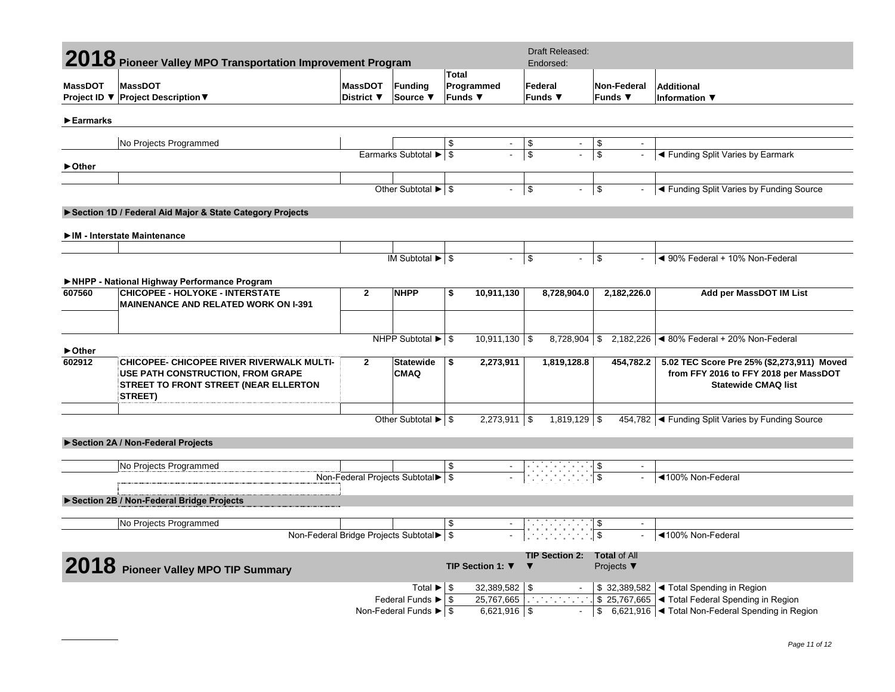|                | 2018 Pioneer Valley MPO Transportation Improvement Program                                                                                              |                              |                                                   |                                       |                |                         | Draft Released:<br>Endorsed:                                                                                                                                                                                                         |                                           |                               |                                                                                                                   |
|----------------|---------------------------------------------------------------------------------------------------------------------------------------------------------|------------------------------|---------------------------------------------------|---------------------------------------|----------------|-------------------------|--------------------------------------------------------------------------------------------------------------------------------------------------------------------------------------------------------------------------------------|-------------------------------------------|-------------------------------|-------------------------------------------------------------------------------------------------------------------|
| <b>MassDOT</b> | <b>MassDOT</b><br>Project ID ▼ Project Description ▼                                                                                                    | <b>MassDOT</b><br>District ▼ | Funding<br>Source ▼                               | <b>Total</b><br>Programmed<br>Funds ▼ |                |                         | Federal<br>Funds $\blacktriangledown$                                                                                                                                                                                                | Non-Federal<br>Funds $\blacktriangledown$ |                               | <b>Additional</b><br>Information $\blacktriangledown$                                                             |
| Earmarks       |                                                                                                                                                         |                              |                                                   |                                       |                |                         |                                                                                                                                                                                                                                      |                                           |                               |                                                                                                                   |
|                |                                                                                                                                                         |                              |                                                   |                                       |                |                         |                                                                                                                                                                                                                                      |                                           |                               |                                                                                                                   |
|                | No Projects Programmed                                                                                                                                  |                              |                                                   | \$                                    | $\sim$         | \$                      |                                                                                                                                                                                                                                      |                                           |                               |                                                                                                                   |
| ► Other        |                                                                                                                                                         |                              | Earmarks Subtotal ▶   \$                          |                                       |                | $\overline{\mathbb{S}}$ |                                                                                                                                                                                                                                      | $\overline{\mathbf{s}}$                   |                               | ◀ Funding Split Varies by Earmark                                                                                 |
|                |                                                                                                                                                         |                              |                                                   |                                       |                |                         |                                                                                                                                                                                                                                      |                                           |                               |                                                                                                                   |
|                |                                                                                                                                                         |                              | Other Subtotal $\blacktriangleright$ $\mid$ \$    |                                       | $\blacksquare$ | $\sqrt[6]{\frac{1}{2}}$ | $\mathbf{r}$                                                                                                                                                                                                                         | \$                                        |                               | ◀ Funding Split Varies by Funding Source                                                                          |
|                | Section 1D / Federal Aid Major & State Category Projects                                                                                                |                              |                                                   |                                       |                |                         |                                                                                                                                                                                                                                      |                                           |                               |                                                                                                                   |
|                | IM - Interstate Maintenance                                                                                                                             |                              |                                                   |                                       |                |                         |                                                                                                                                                                                                                                      |                                           |                               |                                                                                                                   |
|                |                                                                                                                                                         |                              |                                                   |                                       |                |                         |                                                                                                                                                                                                                                      |                                           |                               |                                                                                                                   |
|                |                                                                                                                                                         |                              | IM Subtotal $\blacktriangleright$ $\mid$ \$       |                                       | $\blacksquare$ | $\overline{\mathbf{S}}$ | $\blacksquare$                                                                                                                                                                                                                       | $\sqrt{3}$                                |                               | ◀ 90% Federal + 10% Non-Federal                                                                                   |
|                | NHPP - National Highway Performance Program                                                                                                             |                              |                                                   |                                       |                |                         |                                                                                                                                                                                                                                      |                                           |                               |                                                                                                                   |
| 607560         | <b>CHICOPEE - HOLYOKE - INTERSTATE</b><br><b>MAINENANCE AND RELATED WORK ON I-391</b>                                                                   | $\mathbf{2}$                 | <b>NHPP</b>                                       | \$<br>10,911,130                      |                |                         | 8,728,904.0                                                                                                                                                                                                                          |                                           | 2,182,226.0                   | Add per MassDOT IM List                                                                                           |
|                |                                                                                                                                                         |                              |                                                   |                                       |                |                         |                                                                                                                                                                                                                                      |                                           |                               |                                                                                                                   |
| ► Other        |                                                                                                                                                         |                              | NHPP Subtotal $\blacktriangleright$ $\mid$ \$     | $10,911,130$   \$                     |                |                         |                                                                                                                                                                                                                                      |                                           |                               | 2,182,226 $\blacktriangleleft$ 80% Federal + 20% Non-Federal                                                      |
| 602912         | <b>CHICOPEE- CHICOPEE RIVER RIVERWALK MULTI-</b><br>USE PATH CONSTRUCTION, FROM GRAPE<br><b>STREET TO FRONT STREET (NEAR ELLERTON</b><br><b>STREET)</b> | $\mathbf{2}$                 | <b>Statewide</b><br><b>CMAQ</b>                   | \$<br>2,273,911                       |                |                         | 1,819,128.8                                                                                                                                                                                                                          |                                           | 454,782.2                     | 5.02 TEC Score Pre 25% (\$2,273,911) Moved<br>from FFY 2016 to FFY 2018 per MassDOT<br><b>Statewide CMAQ list</b> |
|                |                                                                                                                                                         |                              |                                                   |                                       |                |                         |                                                                                                                                                                                                                                      |                                           |                               |                                                                                                                   |
|                |                                                                                                                                                         |                              | Other Subtotal $\blacktriangleright$ $\mid$ \$    | $2,273,911$ \$                        |                |                         | $1,819,129$ \$                                                                                                                                                                                                                       |                                           |                               | 454,782   Funding Split Varies by Funding Source                                                                  |
|                | Section 2A / Non-Federal Projects                                                                                                                       |                              |                                                   |                                       |                |                         |                                                                                                                                                                                                                                      |                                           |                               |                                                                                                                   |
|                |                                                                                                                                                         |                              |                                                   |                                       |                |                         |                                                                                                                                                                                                                                      |                                           |                               |                                                                                                                   |
|                | No Projects Programmed                                                                                                                                  |                              |                                                   |                                       |                |                         | $\frac{\sqrt{3}}{3}$                                                                                                                                                                                                                 |                                           |                               |                                                                                                                   |
|                |                                                                                                                                                         |                              | Non-Federal Projects Subtotal > \$                |                                       |                |                         |                                                                                                                                                                                                                                      |                                           |                               | ◀100% Non-Federal                                                                                                 |
|                | Section 2B / Non-Federal Bridge Projects                                                                                                                |                              |                                                   |                                       |                |                         |                                                                                                                                                                                                                                      |                                           |                               |                                                                                                                   |
|                |                                                                                                                                                         |                              |                                                   |                                       |                |                         |                                                                                                                                                                                                                                      |                                           |                               |                                                                                                                   |
|                | No Projects Programmed                                                                                                                                  |                              |                                                   | \$                                    |                |                         |                                                                                                                                                                                                                                      |                                           |                               |                                                                                                                   |
|                |                                                                                                                                                         |                              | Non-Federal Bridge Projects Subtotal > \$         |                                       |                |                         |                                                                                                                                                                                                                                      | $\sqrt{2}$                                |                               | ◀100% Non-Federal                                                                                                 |
|                |                                                                                                                                                         |                              |                                                   |                                       |                |                         | <b>TIP Section 2:</b>                                                                                                                                                                                                                |                                           | <b>Total of All</b>           |                                                                                                                   |
|                | 2018 Pioneer Valley MPO TIP Summary                                                                                                                     |                              |                                                   | TIP Section 1: ▼                      |                |                         |                                                                                                                                                                                                                                      |                                           | Projects $\blacktriangledown$ |                                                                                                                   |
|                |                                                                                                                                                         |                              | Total $\blacktriangleright$ $\mid$ \$             | $32,389,582$ \\$                      |                |                         |                                                                                                                                                                                                                                      |                                           |                               | \$ 32,389,582 $\blacktriangleleft$ Total Spending in Region                                                       |
|                |                                                                                                                                                         |                              | Federal Funds ► \$                                | 25,767,665                            |                |                         | <u> Tanzania de la propincia de la propincia de la propincia de la propincia de la propincia de la propincia de la propincia de la propincia de la propincia de la propincia de la propincia de la propincia de la propincia de </u> |                                           |                               | \$ 25,767,665 < Total Federal Spending in Region                                                                  |
|                |                                                                                                                                                         |                              | Non-Federal Funds $\blacktriangleright$ $\mid$ \$ | $6,621,916$ \$                        |                |                         |                                                                                                                                                                                                                                      |                                           |                               | \$ 6,621,916 <total in="" non-federal="" region<="" spending="" td=""></total>                                    |